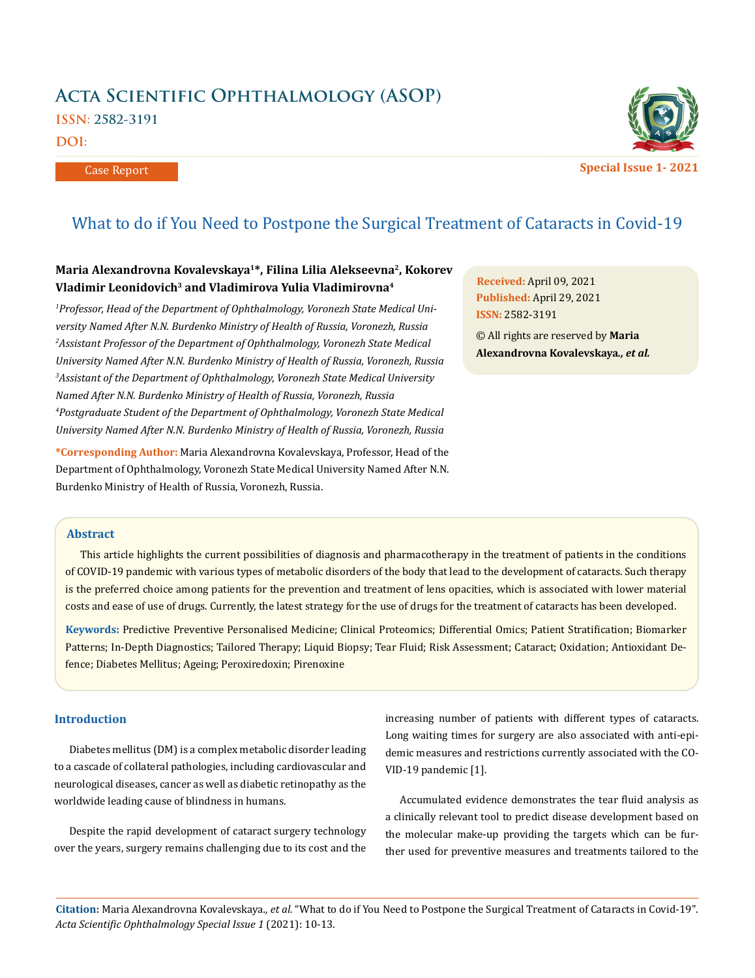# **Acta Scientific Ophthalmology (ASOP) ISSN: 2582-3191**

**DOI:** 

Case Report



**Special Issue 1- 2021**

# What to do if You Need to Postpone the Surgical Treatment of Cataracts in Covid-19

# **Maria Alexandrovna Kovalevskaya1\*, Filina Lilia Alekseevna2, Kokorev Vladimir Leonidovich3 and Vladimirova Yulia Vladimirovna4**

*1 Professor, Head of the Department of Ophthalmology, Voronezh State Medical University Named After N.N. Burdenko Ministry of Health of Russia, Voronezh, Russia 2 Assistant Professor of the Department of Ophthalmology, Voronezh State Medical University Named After N.N. Burdenko Ministry of Health of Russia, Voronezh, Russia 3 Assistant of the Department of Ophthalmology, Voronezh State Medical University Named After N.N. Burdenko Ministry of Health of Russia, Voronezh, Russia 4 Postgraduate Student of the Department of Ophthalmology, Voronezh State Medical University Named After N.N. Burdenko Ministry of Health of Russia, Voronezh, Russia*

**\*Corresponding Author:** Maria Alexandrovna Kovalevskaya, Professor, Head of the Department of Ophthalmology, Voronezh State Medical University Named After N.N. Burdenko Ministry of Health of Russia, Voronezh, Russia.

**Received:** April 09, 2021 **Published:** April 29, 2021 **ISSN:** 2582-3191

© All rights are reserved by **Maria Alexandrovna Kovalevskaya***., et al.*

# **Abstract**

This article highlights the current possibilities of diagnosis and pharmacotherapy in the treatment of patients in the conditions of COVID-19 pandemic with various types of metabolic disorders of the body that lead to the development of cataracts. Such therapy is the preferred choice among patients for the prevention and treatment of lens opacities, which is associated with lower material costs and ease of use of drugs. Currently, the latest strategy for the use of drugs for the treatment of cataracts has been developed.

**Keywords:** Predictive Preventive Personalised Medicine; Clinical Proteomics; Differential Omics; Patient Stratification; Biomarker Patterns; In-Depth Diagnostics; Tailored Therapy; Liquid Biopsy; Tear Fluid; Risk Assessment; Cataract; Oxidation; Antioxidant Defence; Diabetes Mellitus; Ageing; Peroxiredoxin; Pirenoxine

### **Introduction**

Diabetes mellitus (DM) is a complex metabolic disorder leading to a cascade of collateral pathologies, including cardiovascular and neurological diseases, cancer as well as diabetic retinopathy as the worldwide leading cause of blindness in humans.

Despite the rapid development of cataract surgery technology over the years, surgery remains challenging due to its cost and the increasing number of patients with different types of cataracts. Long waiting times for surgery are also associated with anti-epidemic measures and restrictions currently associated with the CO-VID-19 pandemic [1].

Accumulated evidence demonstrates the tear fluid analysis as a clinically relevant tool to predict disease development based on the molecular make-up providing the targets which can be further used for preventive measures and treatments tailored to the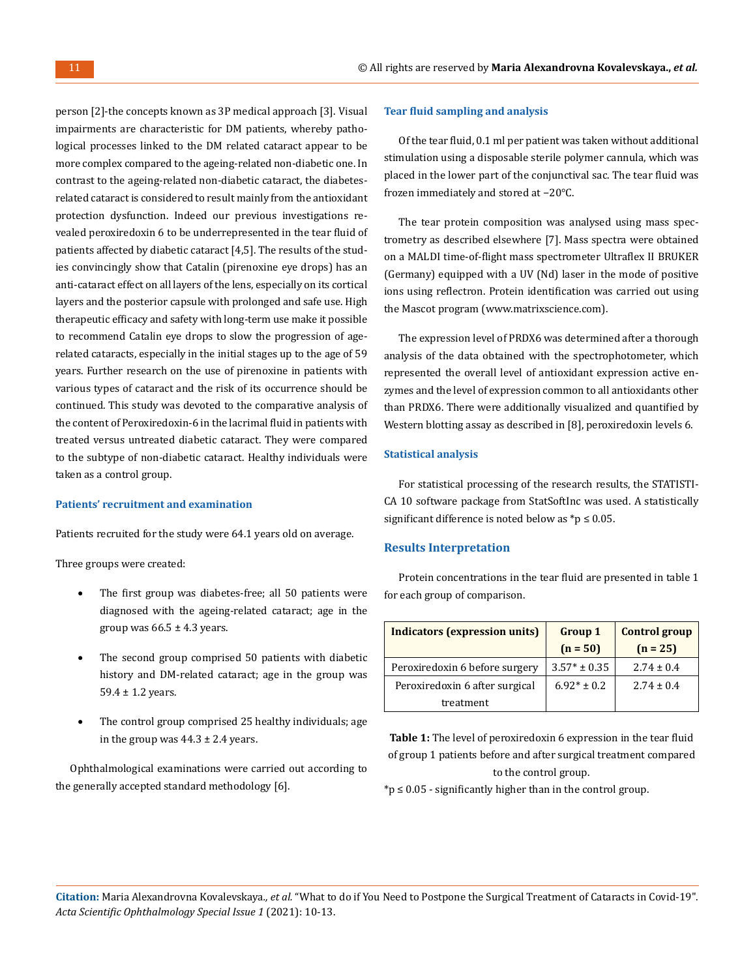person [2]-the concepts known as 3P medical approach [3]. Visual impairments are characteristic for DM patients, whereby pathological processes linked to the DM related cataract appear to be more complex compared to the ageing-related non-diabetic one. In contrast to the ageing-related non-diabetic cataract, the diabetesrelated cataract is considered to result mainly from the antioxidant protection dysfunction. Indeed our previous investigations revealed peroxiredoxin 6 to be underrepresented in the tear fluid of patients affected by diabetic cataract [4,5]. The results of the studies convincingly show that Catalin (pirenoxine eye drops) has an anti-cataract effect on all layers of the lens, especially on its cortical layers and the posterior capsule with prolonged and safe use. High therapeutic efficacy and safety with long-term use make it possible to recommend Catalin eye drops to slow the progression of agerelated cataracts, especially in the initial stages up to the age of 59 years. Further research on the use of pirenoxine in patients with various types of cataract and the risk of its occurrence should be continued. This study was devoted to the comparative analysis of the content of Peroxiredoxin-6 in the lacrimal fluid in patients with treated versus untreated diabetic cataract. They were compared to the subtype of non-diabetic cataract. Healthy individuals were taken as a control group.

#### **Patients' recruitment and examination**

Patients recruited for the study were 64.1 years old on average.

Three groups were created:

- The first group was diabetes-free; all 50 patients were diagnosed with the ageing-related cataract; age in the group was  $66.5 \pm 4.3$  years.
- The second group comprised 50 patients with diabetic history and DM-related cataract; age in the group was 59.4 ± 1.2 years.
- The control group comprised 25 healthy individuals; age in the group was  $44.3 \pm 2.4$  years.

Ophthalmological examinations were carried out according to the generally accepted standard methodology [6].

#### **Tear fluid sampling and analysis**

Of the tear fluid, 0.1 ml per patient was taken without additional stimulation using a disposable sterile polymer cannula, which was placed in the lower part of the conjunctival sac. The tear fluid was frozen immediately and stored at −20°C.

The tear protein composition was analysed using mass spectrometry as described elsewhere [7]. Mass spectra were obtained on a MALDI time-of-flight mass spectrometer Ultraflex II BRUKER (Germany) equipped with a UV (Nd) laser in the mode of positive ions using reflectron. Protein identification was carried out using the Mascot program ([www.matrixscience.com](http://www.matrixscience.com)).

The expression level of PRDX6 was determined after a thorough analysis of the data obtained with the spectrophotometer, which represented the overall level of antioxidant expression active enzymes and the level of expression common to all antioxidants other than PRDX6. There were additionally visualized and quantified by Western blotting assay as described in [8], peroxiredoxin levels 6.

#### **Statistical analysis**

For statistical processing of the research results, the STATISTI-CA 10 software package from StatSoftInc was used. A statistically significant difference is noted below as  $p \leq 0.05$ .

#### **Results Interpretation**

Protein concentrations in the tear fluid are presented in table 1 for each group of comparison.

| <b>Indicators (expression units)</b> | <b>Group 1</b>   | <b>Control group</b> |
|--------------------------------------|------------------|----------------------|
|                                      | $(n = 50)$       | $(n = 25)$           |
| Peroxiredoxin 6 before surgery       | $3.57* \pm 0.35$ | $2.74 \pm 0.4$       |
| Peroxiredoxin 6 after surgical       | $6.92* \pm 0.2$  | $2.74 + 0.4$         |
| treatment                            |                  |                      |

**Table 1:** The level of peroxiredoxin 6 expression in the tear fluid of group 1 patients before and after surgical treatment compared to the control group.

 $*$ p  $\leq$  0.05 - significantly higher than in the control group.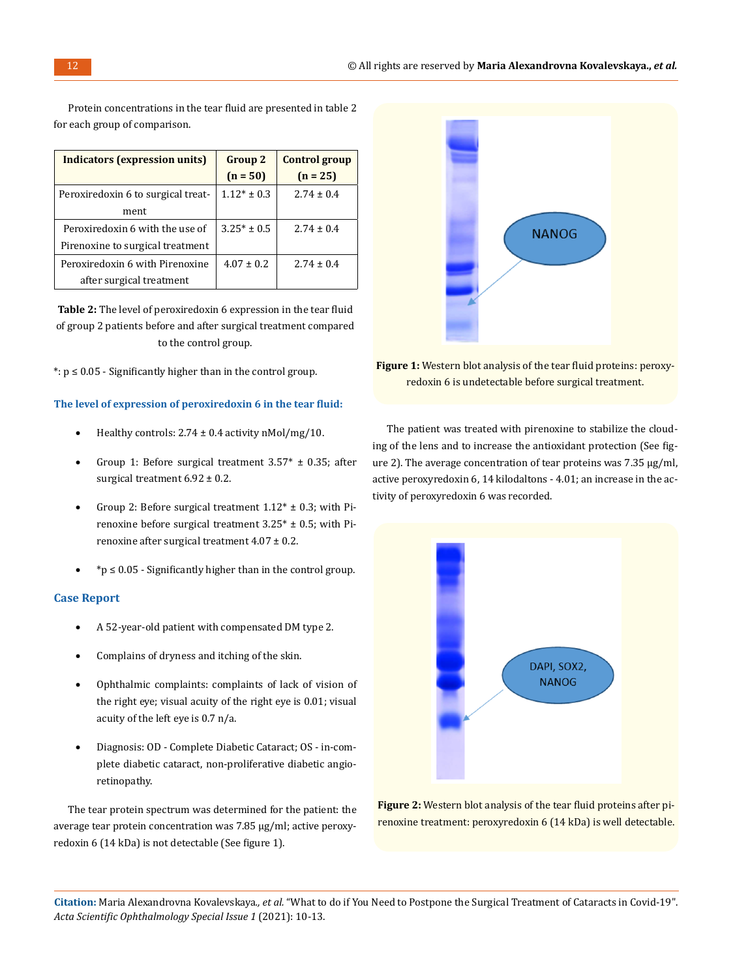| Indicators (expression units)      | <b>Group 2</b>  | <b>Control group</b> |
|------------------------------------|-----------------|----------------------|
|                                    | $(n = 50)$      | $(n = 25)$           |
| Peroxiredoxin 6 to surgical treat- | $1.12* \pm 0.3$ | $2.74 + 0.4$         |
| ment                               |                 |                      |
| Peroxiredoxin 6 with the use of    | $3.25* + 0.5$   | $2.74 + 0.4$         |
| Pirenoxine to surgical treatment   |                 |                      |
| Peroxiredoxin 6 with Pirenoxine    | $4.07 \pm 0.2$  | $2.74 + 0.4$         |
| after surgical treatment           |                 |                      |

Protein concentrations in the tear fluid are presented in table 2 for each group of comparison.

**Table 2:** The level of peroxiredoxin 6 expression in the tear fluid of group 2 patients before and after surgical treatment compared to the control group.

\*:  $p \leq 0.05$  - Significantly higher than in the control group.

**The level of expression of peroxiredoxin 6 in the tear fluid:**

- Healthy controls:  $2.74 \pm 0.4$  activity nMol/mg/10.
- Group 1: Before surgical treatment  $3.57* \pm 0.35$ ; after surgical treatment  $6.92 \pm 0.2$ .
- Group 2: Before surgical treatment  $1.12^* \pm 0.3$ ; with Pirenoxine before surgical treatment  $3.25^* \pm 0.5$ ; with Pirenoxine after surgical treatment  $4.07 \pm 0.2$ .
- $*$ p  $\leq$  0.05 Significantly higher than in the control group.

### **Case Report**

- A 52-year-old patient with compensated DM type 2.
- Complains of dryness and itching of the skin.
- • Ophthalmic complaints: complaints of lack of vision of the right eye; visual acuity of the right eye is 0.01; visual acuity of the left eye is 0.7 n/a.
- Diagnosis: OD Complete Diabetic Cataract; OS in-complete diabetic cataract, non-proliferative diabetic angioretinopathy.

The tear protein spectrum was determined for the patient: the average tear protein concentration was 7.85 μg/ml; active peroxyredoxin 6 (14 kDa) is not detectable (See figure 1).



**Figure 1:** Western blot analysis of the tear fluid proteins: peroxyredoxin 6 is undetectable before surgical treatment.

The patient was treated with pirenoxine to stabilize the clouding of the lens and to increase the antioxidant protection (See figure 2). The average concentration of tear proteins was 7.35 μg/ml, active peroxyredoxin 6, 14 kilodaltons - 4.01; an increase in the activity of peroxyredoxin 6 was recorded.



**Figure 2:** Western blot analysis of the tear fluid proteins after pirenoxine treatment: peroxyredoxin 6 (14 kDa) is well detectable.